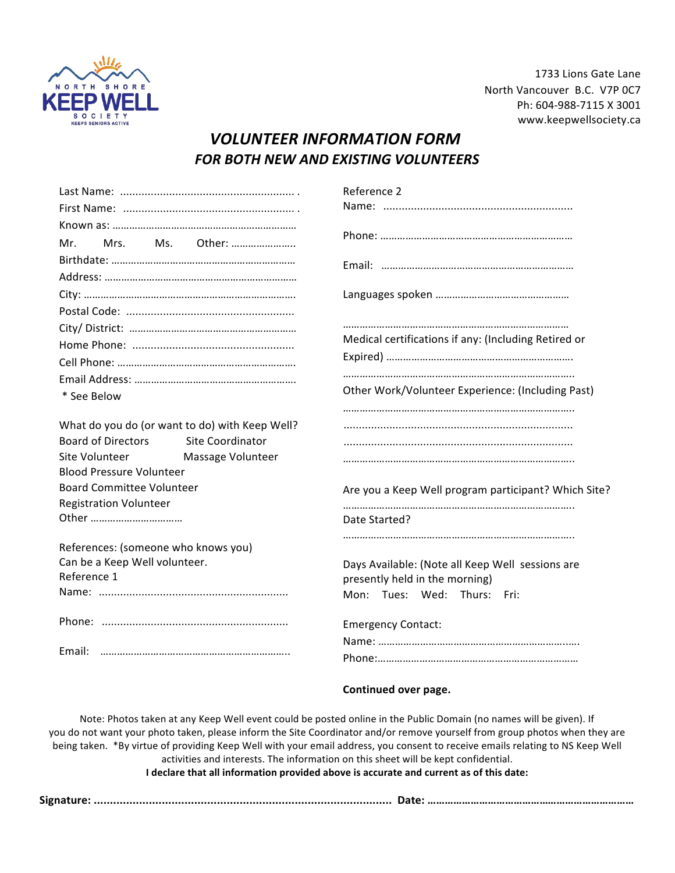

1733 Lions Gate Lane North Vancouver B.C. V7P 0C7 Ph: 604-988-7115 X 3001 www.keepwellsociety.ca 

## *VOLUNTEER INFORMATION FORM* **FOR BOTH NEW AND EXISTING VOLUNTEERS**

|                                                | Reference 2                                          |
|------------------------------------------------|------------------------------------------------------|
|                                                |                                                      |
|                                                |                                                      |
| Other:<br>Ms.<br>Mr.<br>Mrs.                   |                                                      |
|                                                |                                                      |
|                                                |                                                      |
|                                                |                                                      |
|                                                |                                                      |
|                                                |                                                      |
|                                                | Medical certifications if any: (Including Retired or |
|                                                |                                                      |
|                                                |                                                      |
| * See Below                                    | Other Work/Volunteer Experience: (Including Past)    |
|                                                |                                                      |
| What do you do (or want to do) with Keep Well? |                                                      |
| <b>Board of Directors</b><br>Site Coordinator  |                                                      |
| Site Volunteer<br>Massage Volunteer            |                                                      |
| <b>Blood Pressure Volunteer</b>                |                                                      |
| <b>Board Committee Volunteer</b>               | Are you a Keep Well program participant? Which Site? |
| <b>Registration Volunteer</b>                  |                                                      |
| Other                                          | Date Started?                                        |
| References: (someone who knows you)            |                                                      |
| Can be a Keep Well volunteer.                  | Days Available: (Note all Keep Well sessions are     |
| Reference 1                                    | presently held in the morning)                       |
|                                                | Mon: Tues: Wed: Thurs:<br>Fri:                       |
|                                                |                                                      |
|                                                | <b>Emergency Contact:</b>                            |
|                                                |                                                      |
| Email:                                         |                                                      |
|                                                |                                                      |

**Continued over page.**

Note: Photos taken at any Keep Well event could be posted online in the Public Domain (no names will be given). If you do not want your photo taken, please inform the Site Coordinator and/or remove yourself from group photos when they are being taken. \*By virtue of providing Keep Well with your email address, you consent to receive emails relating to NS Keep Well activities and interests. The information on this sheet will be kept confidential.

**I** declare that all information provided above is accurate and current as of this date:

**Signature: ............................................................................................ Date: ………………………………………………………………**